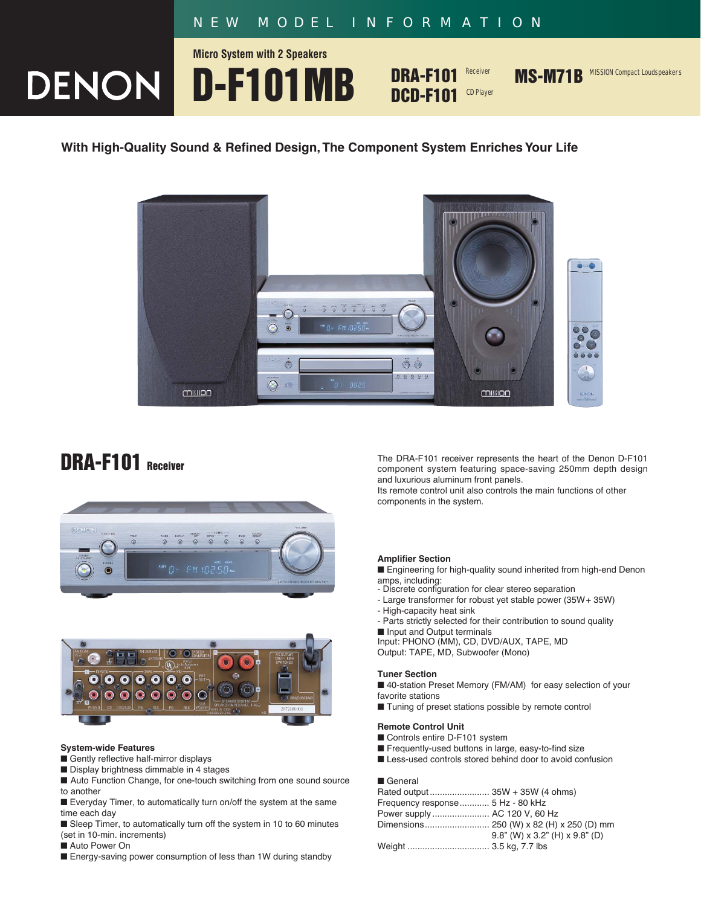# *NEW MODEL INFORMATION*

**Micro System with 2 Speakers**

**DENON D-F101MB** 

**DRA-F101 DCD-F101** CD Player

Receiver **MS-M71B** MISSION Compact Loudspeakers

### **With High-Quality Sound & Refined Design,The Component System Enriches Your Life**







#### **System-wide Features**

- Gently reflective half-mirror displays
- Display brightness dimmable in 4 stages
- Auto Function Change, for one-touch switching from one sound source to another

■ Everyday Timer, to automatically turn on/off the system at the same time each day

■ Sleep Timer, to automatically turn off the system in 10 to 60 minutes (set in 10-min. increments)

■ Auto Power On

■ Energy-saving power consumption of less than 1W during standby

**DRA-F101** Receiver component system featuring space-saving 250mm depth design and luxurious aluminum front panels.

Its remote control unit also controls the main functions of other components in the system.

#### **Amplifier Section**

■ Engineering for high-quality sound inherited from high-end Denon

- amps, including: Discrete configuration for clear stereo separation
- Large transformer for robust yet stable power (35W+ 35W)
- High-capacity heat sink
- Parts strictly selected for their contribution to sound quality

■ Input and Output terminals Input: PHONO (MM), CD, DVD/AUX, TAPE, MD

Output: TAPE, MD, Subwoofer (Mono)

#### **Tuner Section**

■ 40-station Preset Memory (FM/AM) for easy selection of your favorite stations

■ Tuning of preset stations possible by remote control

#### **Remote Control Unit**

- Controls entire D-F101 system
- Frequently-used buttons in large, easy-to-find size
- Less-used controls stored behind door to avoid confusion

#### ■ General

| Frequency response 5 Hz - 80 kHz |                                         |
|----------------------------------|-----------------------------------------|
| Power supply AC 120 V, 60 Hz     |                                         |
|                                  |                                         |
|                                  | $9.8$ " (W) x $3.2$ " (H) x $9.8$ " (D) |
|                                  |                                         |